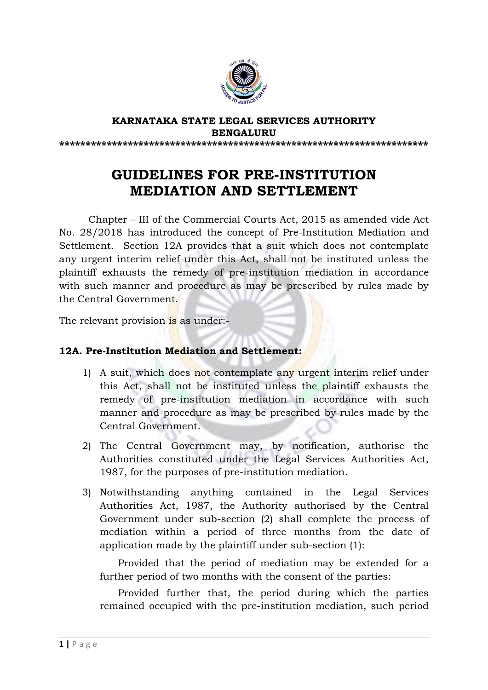

#### **KARNATAKA STATE LEGAL SERVICES AUTHORITY BENGALURU \*\*\*\*\*\*\*\*\*\*\*\*\*\*\*\*\*\*\*\*\*\*\*\*\*\*\*\*\*\*\*\*\*\*\*\*\*\*\*\*\*\*\*\*\*\*\*\*\*\*\*\*\*\*\*\*\*\*\*\*\*\*\*\*\*\*\*\*\*\***

## **GUIDELINES FOR PRE-INSTITUTION MEDIATION AND SETTLEMENT**

Chapter – III of the Commercial Courts Act, 2015 as amended vide Act No. 28/2018 has introduced the concept of Pre-Institution Mediation and Settlement. Section 12A provides that a suit which does not contemplate any urgent interim relief under this Act, shall not be instituted unless the plaintiff exhausts the remedy of pre-institution mediation in accordance with such manner and procedure as may be prescribed by rules made by the Central Government.

The relevant provision is as under:-

### **12A. Pre-Institution Mediation and Settlement:**

- 1) A suit, which does not contemplate any urgent interim relief under this Act, shall not be instituted unless the plaintiff exhausts the remedy of pre-institution mediation in accordance with such manner and procedure as may be prescribed by rules made by the Central Government.
- 2) The Central Government may, by notification, authorise the Authorities constituted under the Legal Services Authorities Act, 1987, for the purposes of pre-institution mediation.
- 3) Notwithstanding anything contained in the Legal Services Authorities Act, 1987, the Authority authorised by the Central Government under sub-section (2) shall complete the process of mediation within a period of three months from the date of application made by the plaintiff under sub-section (1):

Provided that the period of mediation may be extended for a further period of two months with the consent of the parties:

Provided further that, the period during which the parties remained occupied with the pre-institution mediation, such period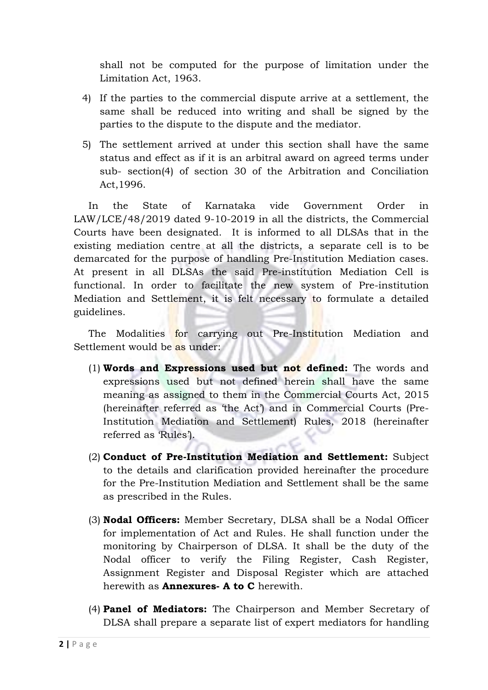shall not be computed for the purpose of limitation under the Limitation Act, 1963.

- 4) If the parties to the commercial dispute arrive at a settlement, the same shall be reduced into writing and shall be signed by the parties to the dispute to the dispute and the mediator.
- 5) The settlement arrived at under this section shall have the same status and effect as if it is an arbitral award on agreed terms under sub- section(4) of section 30 of the Arbitration and Conciliation Act,1996.

In the State of Karnataka vide Government Order in LAW/LCE/48/2019 dated 9-10-2019 in all the districts, the Commercial Courts have been designated. It is informed to all DLSAs that in the existing mediation centre at all the districts, a separate cell is to be demarcated for the purpose of handling Pre-Institution Mediation cases. At present in all DLSAs the said Pre-institution Mediation Cell is functional. In order to facilitate the new system of Pre-institution Mediation and Settlement, it is felt necessary to formulate a detailed guidelines.

The Modalities for carrying out Pre-Institution Mediation and Settlement would be as under:

- (1) **Words and Expressions used but not defined:** The words and expressions used but not defined herein shall have the same meaning as assigned to them in the Commercial Courts Act, 2015 (hereinafter referred as 'the Act') and in Commercial Courts (Pre-Institution Mediation and Settlement) Rules, 2018 (hereinafter referred as 'Rules').
- (2) **Conduct of Pre-Institution Mediation and Settlement:** Subject to the details and clarification provided hereinafter the procedure for the Pre-Institution Mediation and Settlement shall be the same as prescribed in the Rules.
- (3) **Nodal Officers:** Member Secretary, DLSA shall be a Nodal Officer for implementation of Act and Rules. He shall function under the monitoring by Chairperson of DLSA. It shall be the duty of the Nodal officer to verify the Filing Register, Cash Register, Assignment Register and Disposal Register which are attached herewith as **Annexures- A to C** herewith.
- (4) **Panel of Mediators:** The Chairperson and Member Secretary of DLSA shall prepare a separate list of expert mediators for handling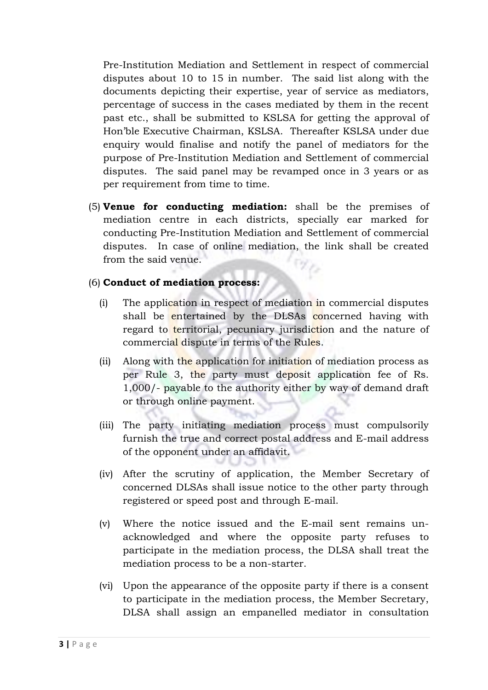Pre-Institution Mediation and Settlement in respect of commercial disputes about 10 to 15 in number. The said list along with the documents depicting their expertise, year of service as mediators, percentage of success in the cases mediated by them in the recent past etc., shall be submitted to KSLSA for getting the approval of Hon'ble Executive Chairman, KSLSA. Thereafter KSLSA under due enquiry would finalise and notify the panel of mediators for the purpose of Pre-Institution Mediation and Settlement of commercial disputes. The said panel may be revamped once in 3 years or as per requirement from time to time.

(5) **Venue for conducting mediation:** shall be the premises of mediation centre in each districts, specially ear marked for conducting Pre-Institution Mediation and Settlement of commercial disputes. In case of online mediation, the link shall be created from the said venue.

#### (6) **Conduct of mediation process:**

- (i) The application in respect of mediation in commercial disputes shall be entertained by the DLSAs concerned having with regard to territorial, pecuniary jurisdiction and the nature of commercial dispute in terms of the Rules.
- (ii) Along with the application for initiation of mediation process as per Rule 3, the party must deposit application fee of Rs. 1,000/- payable to the authority either by way of demand draft or through online payment.
- (iii) The party initiating mediation process must compulsorily furnish the true and correct postal address and E-mail address of the opponent under an affidavit.
- (iv) After the scrutiny of application, the Member Secretary of concerned DLSAs shall issue notice to the other party through registered or speed post and through E-mail.
- (v) Where the notice issued and the E-mail sent remains unacknowledged and where the opposite party refuses to participate in the mediation process, the DLSA shall treat the mediation process to be a non-starter.
- (vi) Upon the appearance of the opposite party if there is a consent to participate in the mediation process, the Member Secretary, DLSA shall assign an empanelled mediator in consultation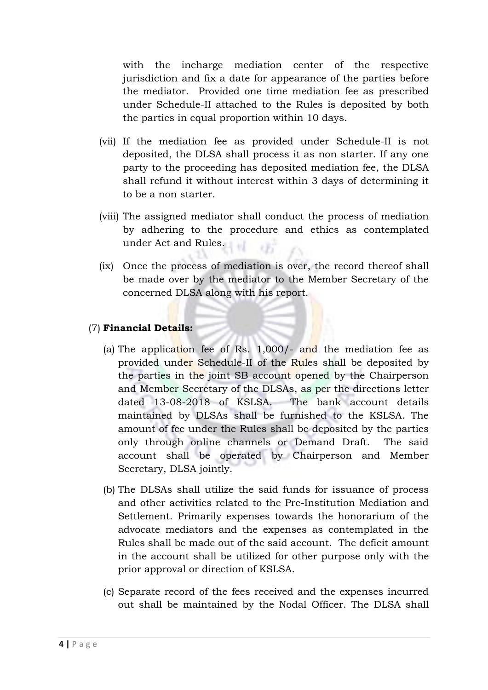with the incharge mediation center of the respective jurisdiction and fix a date for appearance of the parties before the mediator. Provided one time mediation fee as prescribed under Schedule-II attached to the Rules is deposited by both the parties in equal proportion within 10 days.

- (vii) If the mediation fee as provided under Schedule-II is not deposited, the DLSA shall process it as non starter. If any one party to the proceeding has deposited mediation fee, the DLSA shall refund it without interest within 3 days of determining it to be a non starter.
- (viii) The assigned mediator shall conduct the process of mediation by adhering to the procedure and ethics as contemplated under Act and Rules.
- (ix) Once the process of mediation is over, the record thereof shall be made over by the mediator to the Member Secretary of the concerned DLSA along with his report.

#### (7) **Financial Details:**

- (a) The application fee of Rs.  $1,000/$  and the mediation fee as provided under Schedule-II of the Rules shall be deposited by the parties in the joint SB account opened by the Chairperson and Member Secretary of the DLSAs, as per the directions letter dated 13-08-2018 of KSLSA. The bank account details maintained by DLSAs shall be furnished to the KSLSA. The amount of fee under the Rules shall be deposited by the parties only through online channels or Demand Draft. The said account shall be operated by Chairperson and Member Secretary, DLSA jointly.
- (b) The DLSAs shall utilize the said funds for issuance of process and other activities related to the Pre-Institution Mediation and Settlement. Primarily expenses towards the honorarium of the advocate mediators and the expenses as contemplated in the Rules shall be made out of the said account. The deficit amount in the account shall be utilized for other purpose only with the prior approval or direction of KSLSA.
- (c) Separate record of the fees received and the expenses incurred out shall be maintained by the Nodal Officer. The DLSA shall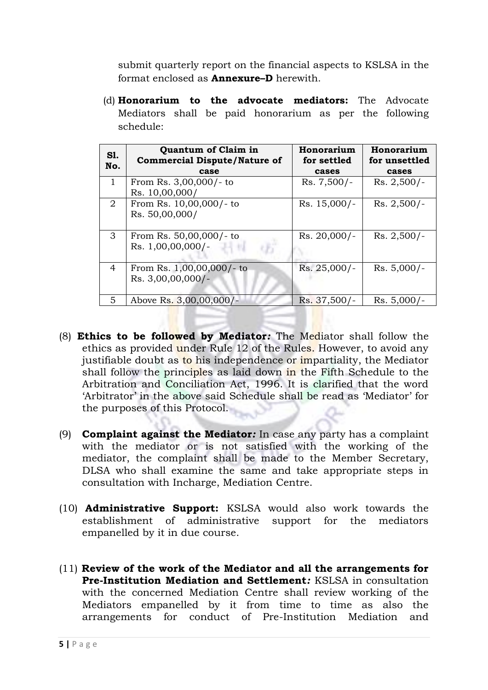submit quarterly report on the financial aspects to KSLSA in the format enclosed as **Annexure–D** herewith.

(d) **Honorarium to the advocate mediators:** The Advocate Mediators shall be paid honorarium as per the following schedule:

| <b>S1.</b><br>No. | <b>Quantum of Claim in</b><br><b>Commercial Dispute/Nature of</b><br>case | Honorarium<br>for settled<br>cases | Honorarium<br>for unsettled<br>cases |
|-------------------|---------------------------------------------------------------------------|------------------------------------|--------------------------------------|
| $\mathbf{1}$      | From Rs. 3,00,000/- to<br>Rs. 10,00,000/                                  | Rs. 7,500/-                        | $Rs. 2,500/-$                        |
| $\overline{2}$    | From Rs. 10,00,000/- to<br>Rs. 50,00,000/                                 | $Rs. 15,000/-$                     | $Rs. 2,500/-$                        |
| 3                 | From Rs. 50,00,000/- to<br>Rs. $1,00,00,000/$ -                           | Rs. 20,000/-                       | $Rs. 2,500/-$                        |
| $\overline{4}$    | From Rs. 1,00,00,000/- to<br>Rs. 3,00,00,000/-                            | Rs. 25,000/-                       | $Rs. 5,000/-$                        |
| 5                 | Above Rs. 3,00,00,000/-                                                   | Rs. 37,500/-                       | $Rs. 5,000/-$                        |

- (8) **Ethics to be followed by Mediator***:* The Mediator shall follow the ethics as provided under Rule 12 of the Rules. However, to avoid any justifiable doubt as to his independence or impartiality, the Mediator shall follow the principles as laid down in the Fifth Schedule to the Arbitration and Conciliation Act, 1996. It is clarified that the word 'Arbitrator' in the above said Schedule shall be read as 'Mediator' for the purposes of this Protocol.
- (9) **Complaint against the Mediator***:* In case any party has a complaint with the mediator or is not satisfied with the working of the mediator, the complaint shall be made to the Member Secretary, DLSA who shall examine the same and take appropriate steps in consultation with Incharge, Mediation Centre.
- (10) **Administrative Support:** KSLSA would also work towards the establishment of administrative support for the mediators empanelled by it in due course.
- (11) **Review of the work of the Mediator and all the arrangements for Pre-Institution Mediation and Settlement***:* KSLSA in consultation with the concerned Mediation Centre shall review working of the Mediators empanelled by it from time to time as also the arrangements for conduct of Pre-Institution Mediation and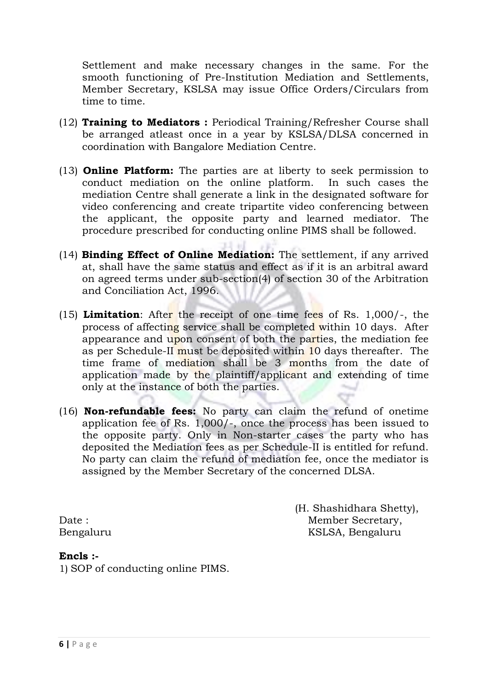Settlement and make necessary changes in the same. For the smooth functioning of Pre-Institution Mediation and Settlements, Member Secretary, KSLSA may issue Office Orders/Circulars from time to time.

- (12) **Training to Mediators :** Periodical Training/Refresher Course shall be arranged atleast once in a year by KSLSA/DLSA concerned in coordination with Bangalore Mediation Centre.
- (13) **Online Platform:** The parties are at liberty to seek permission to conduct mediation on the online platform. In such cases the mediation Centre shall generate a link in the designated software for video conferencing and create tripartite video conferencing between the applicant, the opposite party and learned mediator. The procedure prescribed for conducting online PIMS shall be followed.
- (14) **Binding Effect of Online Mediation:** The settlement, if any arrived at, shall have the same status and effect as if it is an arbitral award on agreed terms under sub-section(4) of section 30 of the Arbitration and Conciliation Act, 1996.
- (15) **Limitation**: After the receipt of one time fees of Rs. 1,000/-, the process of affecting service shall be completed within 10 days. After appearance and upon consent of both the parties, the mediation fee as per Schedule-II must be deposited within 10 days thereafter. The time frame of mediation shall be 3 months from the date of application made by the plaintiff/applicant and extending of time only at the instance of both the parties.
- (16) **Non-refundable fees:** No party can claim the refund of onetime application fee of Rs. 1,000/-, once the process has been issued to the opposite party. Only in Non-starter cases the party who has deposited the Mediation fees as per Schedule-II is entitled for refund. No party can claim the refund of mediation fee, once the mediator is assigned by the Member Secretary of the concerned DLSA.

 (H. Shashidhara Shetty), Date : Member Secretary, Bengaluru KSLSA, Bengaluru

#### **Encls :-**

1) SOP of conducting online PIMS.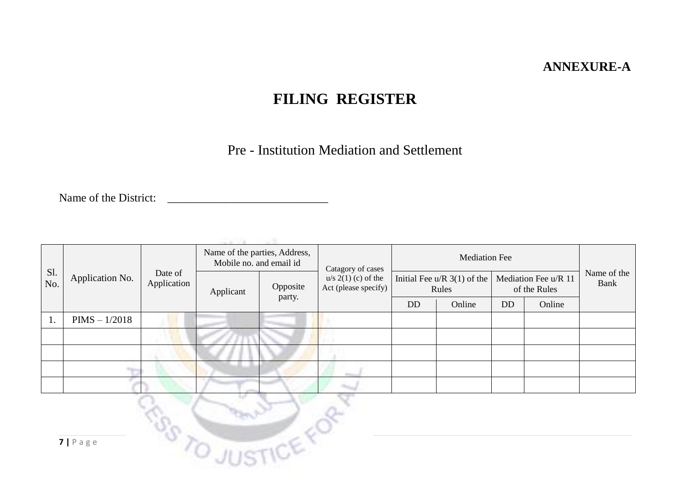### **ANNEXURE-A**

## **FILING REGISTER**

Pre - Institution Mediation and Settlement

Name of the District:

| Sl.<br>No.                                           | Application No. | Date of<br>Application | Name of the parties, Address,<br>Mobile no. and email id |                    | Catagory of cases                             | <b>Mediation Fee</b>                   |        |                                      |        |                     |
|------------------------------------------------------|-----------------|------------------------|----------------------------------------------------------|--------------------|-----------------------------------------------|----------------------------------------|--------|--------------------------------------|--------|---------------------|
|                                                      |                 |                        | Applicant                                                | Opposite<br>party. | $u/s$ 2(1) (c) of the<br>Act (please specify) | Initial Fee u/R $3(1)$ of the<br>Rules |        | Mediation Fee u/R 11<br>of the Rules |        | Name of the<br>Bank |
|                                                      |                 |                        |                                                          |                    |                                               | <b>DD</b>                              | Online | <b>DD</b>                            | Online |                     |
| 1.                                                   | $PIMS - 1/2018$ |                        |                                                          |                    |                                               |                                        |        |                                      |        |                     |
|                                                      |                 |                        |                                                          |                    |                                               |                                        |        |                                      |        |                     |
|                                                      |                 |                        |                                                          |                    |                                               |                                        |        |                                      |        |                     |
|                                                      |                 |                        |                                                          |                    |                                               |                                        |        |                                      |        |                     |
|                                                      |                 |                        |                                                          |                    |                                               |                                        |        |                                      |        |                     |
| <b>R.P.</b><br><b>ILISTICE</b><br>$7   P \text{age}$ |                 |                        |                                                          |                    |                                               |                                        |        |                                      |        |                     |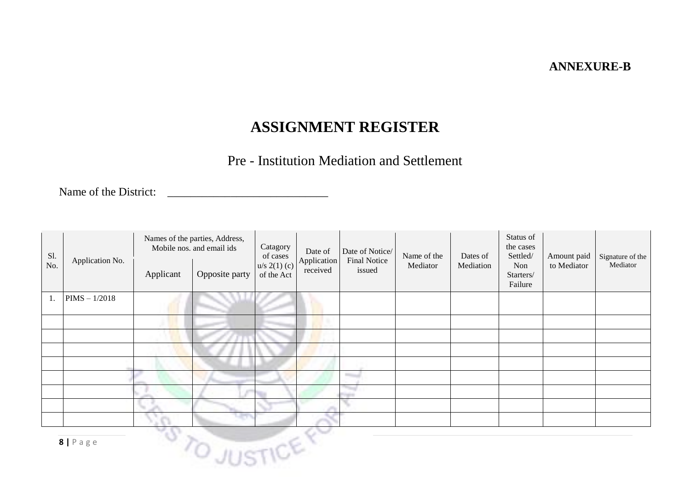### **ANNEXURE-B**

### **ASSIGNMENT REGISTER**

### Pre - Institution Mediation and Settlement

Name of the District:

| Sl.<br>No. | Application No.    | Applicant | Names of the parties, Address,<br>Mobile nos. and email ids<br>Opposite party                                                                                                                                                        | Catagory<br>of cases<br>$u/s 2(1)$ (c)<br>of the Act | Date of<br>Application<br>received | Date of Notice/<br><b>Final Notice</b><br>issued | Name of the<br>Mediator | Dates of<br>Mediation | Status of<br>the cases<br>Settled/<br>Non<br>Starters/ | Amount paid<br>to Mediator | Signature of the<br>Mediator |
|------------|--------------------|-----------|--------------------------------------------------------------------------------------------------------------------------------------------------------------------------------------------------------------------------------------|------------------------------------------------------|------------------------------------|--------------------------------------------------|-------------------------|-----------------------|--------------------------------------------------------|----------------------------|------------------------------|
|            |                    |           |                                                                                                                                                                                                                                      |                                                      |                                    |                                                  |                         |                       | Failure                                                |                            |                              |
| 1.         | $PIMS - 1/2018$    |           |                                                                                                                                                                                                                                      |                                                      |                                    |                                                  |                         |                       |                                                        |                            |                              |
|            |                    |           |                                                                                                                                                                                                                                      |                                                      |                                    |                                                  |                         |                       |                                                        |                            |                              |
|            |                    |           |                                                                                                                                                                                                                                      |                                                      |                                    |                                                  |                         |                       |                                                        |                            |                              |
|            |                    |           |                                                                                                                                                                                                                                      |                                                      |                                    |                                                  |                         |                       |                                                        |                            |                              |
|            |                    |           |                                                                                                                                                                                                                                      |                                                      |                                    |                                                  |                         |                       |                                                        |                            |                              |
|            |                    |           |                                                                                                                                                                                                                                      |                                                      |                                    |                                                  |                         |                       |                                                        |                            |                              |
|            |                    |           |                                                                                                                                                                                                                                      |                                                      |                                    |                                                  |                         |                       |                                                        |                            |                              |
|            |                    |           |                                                                                                                                                                                                                                      |                                                      |                                    |                                                  |                         |                       |                                                        |                            |                              |
|            |                    |           |                                                                                                                                                                                                                                      |                                                      |                                    |                                                  |                         |                       |                                                        |                            |                              |
|            | $8   P \text{age}$ |           | <b>Contract Contract Contract Contract Contract Contract Contract Contract Contract Contract Contract Contract Contract Contract Contract Contract Contract Contract Contract Contract Contract Contract Contract Contract Contr</b> |                                                      |                                    |                                                  |                         |                       |                                                        |                            |                              |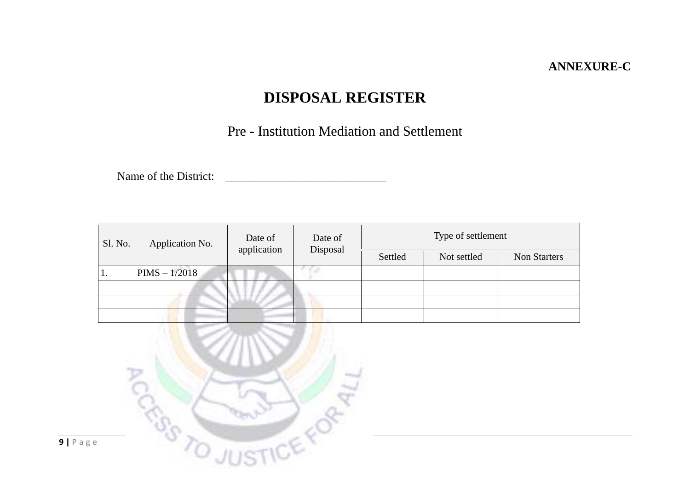### **ANNEXURE-C**

# **DISPOSAL REGISTER**

Pre - Institution Mediation and Settlement

Name of the District:

| Sl. No. | Application No. | Date of<br>application | Date of<br>Disposal | Type of settlement |             |                     |  |  |  |  |  |
|---------|-----------------|------------------------|---------------------|--------------------|-------------|---------------------|--|--|--|--|--|
|         |                 |                        |                     | Settled            | Not settled | <b>Non Starters</b> |  |  |  |  |  |
| 1.      | $PIMS - 1/2018$ |                        |                     |                    |             |                     |  |  |  |  |  |
|         |                 |                        |                     |                    |             |                     |  |  |  |  |  |
|         |                 |                        |                     |                    |             |                     |  |  |  |  |  |
|         |                 |                        |                     |                    |             |                     |  |  |  |  |  |